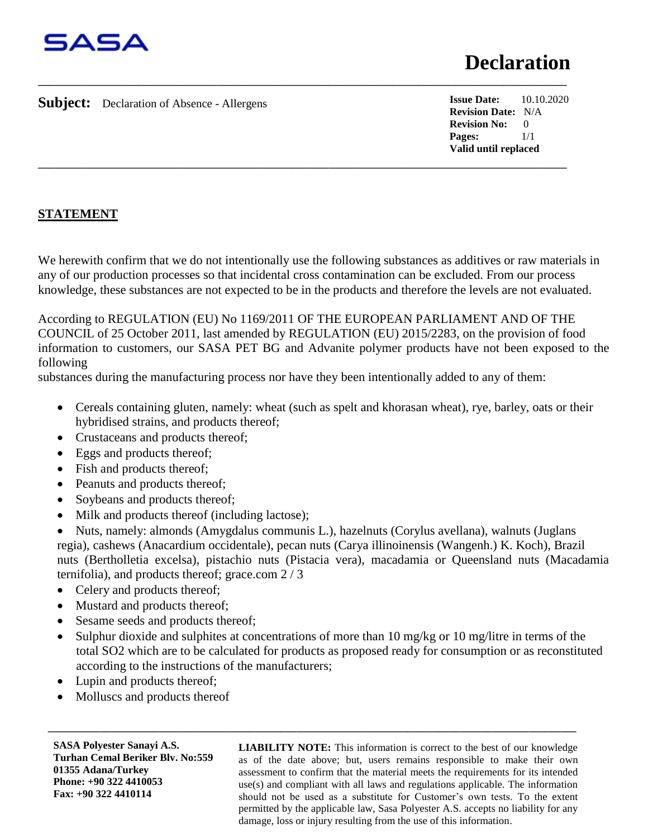

**Subject:** Declaration of Absence - Allergens

**Issue Date:** 10.10.2020 **Revision Date:** N/A **Revision No:** 0 **Pages:** 1/1 **Valid until replaced**

## **STATEMENT**

We herewith confirm that we do not intentionally use the following substances as additives or raw materials in any of our production processes so that incidental cross contamination can be excluded. From our process knowledge, these substances are not expected to be in the products and therefore the levels are not evaluated.

**\_\_\_\_\_\_\_\_\_\_\_\_\_\_\_\_\_\_\_\_\_\_\_\_\_\_\_\_\_\_\_\_\_\_\_\_\_\_\_\_\_\_\_\_\_\_\_\_\_\_\_\_\_\_\_\_\_\_\_\_\_\_\_\_\_\_\_\_\_\_\_\_\_\_\_\_\_\_\_\_\_\_\_\_\_\_\_\_\_\_\_\_\_\_\_\_\_\_\_\_**

**\_\_\_\_\_\_\_\_\_\_\_\_\_\_\_\_\_\_\_\_\_\_\_\_\_\_\_\_\_\_\_\_\_\_\_\_\_\_\_\_\_\_\_\_\_\_\_\_\_\_\_\_\_\_\_\_\_\_\_\_\_\_\_\_\_\_\_\_\_\_\_\_\_\_\_\_\_\_\_\_\_\_\_\_\_\_\_\_\_\_\_\_\_\_\_\_\_\_\_\_**

According to REGULATION (EU) No 1169/2011 OF THE EUROPEAN PARLIAMENT AND OF THE COUNCIL of 25 October 2011, last amended by REGULATION (EU) 2015/2283, on the provision of food information to customers, our SASA PET BG and Advanite polymer products have not been exposed to the following

substances during the manufacturing process nor have they been intentionally added to any of them:

- Cereals containing gluten, namely: wheat (such as spelt and khorasan wheat), rye, barley, oats or their hybridised strains, and products thereof;
- Crustaceans and products thereof;
- Eggs and products thereof;
- Fish and products thereof;
- Peanuts and products thereof;
- Soybeans and products thereof;
- Milk and products thereof (including lactose);

• Nuts, namely: almonds (Amygdalus communis L.), hazelnuts (Corylus avellana), walnuts (Juglans regia), cashews (Anacardium occidentale), pecan nuts (Carya illinoinensis (Wangenh.) K. Koch), Brazil nuts (Bertholletia excelsa), pistachio nuts (Pistacia vera), macadamia or Queensland nuts (Macadamia ternifolia), and products thereof; grace.com 2 / 3

- Celery and products thereof;
- Mustard and products thereof;
- Sesame seeds and products thereof;
- Sulphur dioxide and sulphites at concentrations of more than 10 mg/kg or 10 mg/litre in terms of the total SO2 which are to be calculated for products as proposed ready for consumption or as reconstituted according to the instructions of the manufacturers;

**\_\_\_\_\_\_\_\_\_\_\_\_\_\_\_\_\_\_\_\_\_\_\_\_\_\_\_\_\_\_\_\_\_\_\_\_\_\_\_\_\_\_\_\_\_\_\_\_\_\_\_\_\_\_\_\_\_\_\_\_\_\_\_\_\_\_\_\_\_\_\_\_\_\_\_\_\_\_\_\_\_\_\_\_\_\_\_\_\_\_\_\_\_\_\_\_\_\_\_\_**

- Lupin and products thereof;
- Molluscs and products thereof

**SASA Polyester Sanayi A.S. Turhan Cemal Beriker Blv. No:559 01355 Adana/Turkey Phone: +90 322 4410053 Fax: +90 322 4410114**

**LIABILITY NOTE:** This information is correct to the best of our knowledge as of the date above; but, users remains responsible to make their own assessment to confirm that the material meets the requirements for its intended use(s) and compliant with all laws and regulations applicable. The information should not be used as a substitute for Customer's own tests. To the extent permitted by the applicable law, Sasa Polyester A.S. accepts no liability for any damage, loss or injury resulting from the use of this information.